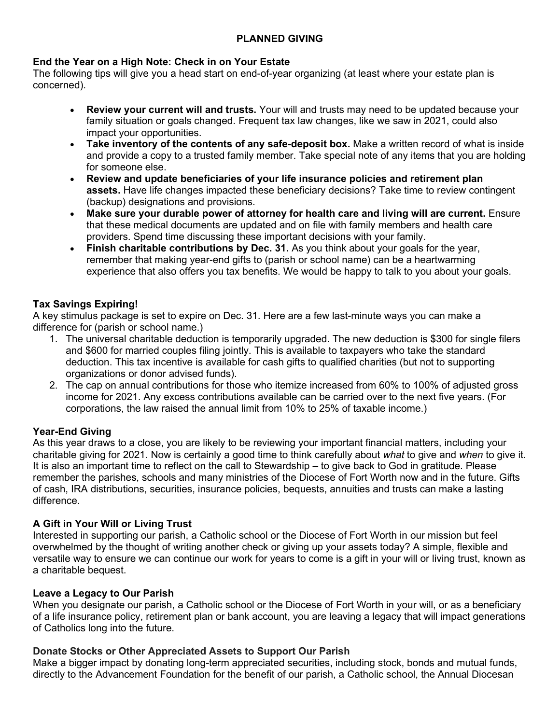# **PLANNED GIVING**

### **End the Year on a High Note: Check in on Your Estate**

The following tips will give you a head start on end-of-year organizing (at least where your estate plan is concerned).

- **Review your current will and trusts.** Your will and trusts may need to be updated because your family situation or goals changed. Frequent tax law changes, like we saw in 2021, could also impact your opportunities.
- **Take inventory of the contents of any safe-deposit box.** Make a written record of what is inside and provide a copy to a trusted family member. Take special note of any items that you are holding for someone else.
- **Review and update beneficiaries of your life insurance policies and retirement plan assets.** Have life changes impacted these beneficiary decisions? Take time to review contingent (backup) designations and provisions.
- **Make sure your durable power of attorney for health care and living will are current.** Ensure that these medical documents are updated and on file with family members and health care providers. Spend time discussing these important decisions with your family.
- **Finish charitable contributions by Dec. 31.** As you think about your goals for the year, remember that making year-end gifts to (parish or school name) can be a heartwarming experience that also offers you tax benefits. We would be happy to talk to you about your goals.

# **Tax Savings Expiring!**

A key stimulus package is set to expire on Dec. 31. Here are a few last-minute ways you can make a difference for (parish or school name.)

- 1. The universal charitable deduction is temporarily upgraded. The new deduction is \$300 for single filers and \$600 for married couples filing jointly. This is available to taxpayers who take the standard deduction. This tax incentive is available for cash gifts to qualified charities (but not to supporting organizations or donor advised funds).
- 2. The cap on annual contributions for those who itemize increased from 60% to 100% of adjusted gross income for 2021. Any excess contributions available can be carried over to the next five years. (For corporations, the law raised the annual limit from 10% to 25% of taxable income.)

# **Year-End Giving**

As this year draws to a close, you are likely to be reviewing your important financial matters, including your charitable giving for 2021. Now is certainly a good time to think carefully about *what* to give and *when* to give it. It is also an important time to reflect on the call to Stewardship – to give back to God in gratitude. Please remember the parishes, schools and many ministries of the Diocese of Fort Worth now and in the future. Gifts of cash, IRA distributions, securities, insurance policies, bequests, annuities and trusts can make a lasting difference.

# **A Gift in Your Will or Living Trust**

Interested in supporting our parish, a Catholic school or the Diocese of Fort Worth in our mission but feel overwhelmed by the thought of writing another check or giving up your assets today? A simple, flexible and versatile way to ensure we can continue our work for years to come is a gift in your will or living trust, known as a charitable bequest.

#### **Leave a Legacy to Our Parish**

When you designate our parish, a Catholic school or the Diocese of Fort Worth in your will, or as a beneficiary of a life insurance policy, retirement plan or bank account, you are leaving a legacy that will impact generations of Catholics long into the future.

# **Donate Stocks or Other Appreciated Assets to Support Our Parish**

Make a bigger impact by donating long-term appreciated securities, including stock, bonds and mutual funds, directly to the Advancement Foundation for the benefit of our parish, a Catholic school, the Annual Diocesan